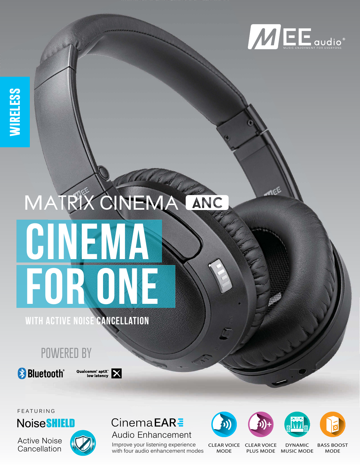

# MATRIX CINEMA ANC FOR ONE

WITH ACTIVE NOISE CANCELLATION

# **POWERED BY**

**& Bluetooth**®



FEATURING

**Noise SHIELD** 

Active Noise Cancellation



#### **CinemaEARE** Audio Enhancement

Improve your listening experience with four audio enhancement modes









CLEAR VOICE CLEAR VOICE MODE

PLUS MODE MUSIC MODE

DYNAMIC

BASS BOOST MODE